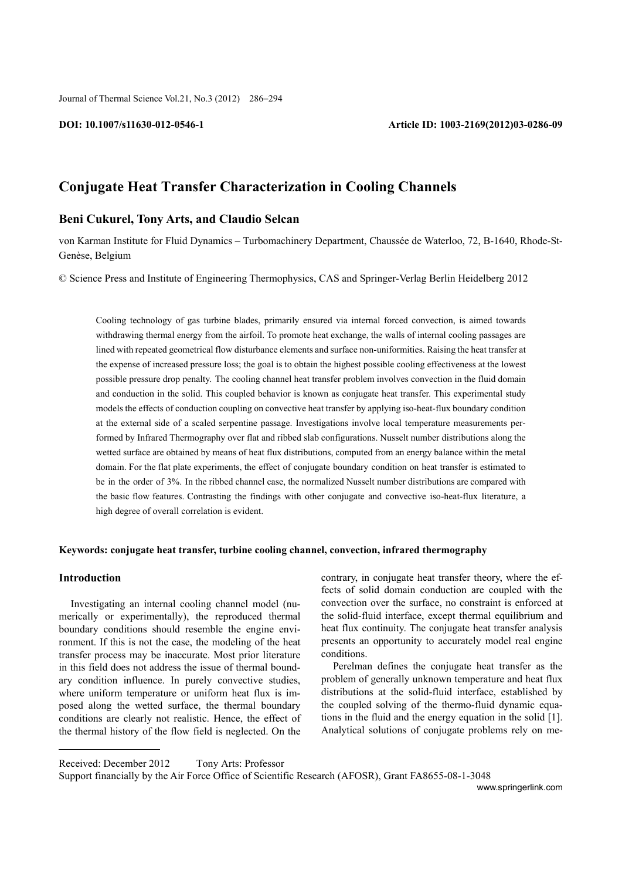# **Conjugate Heat Transfer Characterization in Cooling Channels**

## **Beni Cukurel, Tony Arts, and Claudio Selcan**

von Karman Institute for Fluid Dynamics – Turbomachinery Department, Chaussée de Waterloo, 72, B-1640, Rhode-St-Genèse, Belgium

© Science Press and Institute of Engineering Thermophysics, CAS and Springer-Verlag Berlin Heidelberg 2012

Cooling technology of gas turbine blades, primarily ensured via internal forced convection, is aimed towards withdrawing thermal energy from the airfoil. To promote heat exchange, the walls of internal cooling passages are lined with repeated geometrical flow disturbance elements and surface non-uniformities. Raising the heat transfer at the expense of increased pressure loss; the goal is to obtain the highest possible cooling effectiveness at the lowest possible pressure drop penalty. The cooling channel heat transfer problem involves convection in the fluid domain and conduction in the solid. This coupled behavior is known as conjugate heat transfer. This experimental study models the effects of conduction coupling on convective heat transfer by applying iso-heat-flux boundary condition at the external side of a scaled serpentine passage. Investigations involve local temperature measurements performed by Infrared Thermography over flat and ribbed slab configurations. Nusselt number distributions along the wetted surface are obtained by means of heat flux distributions, computed from an energy balance within the metal domain. For the flat plate experiments, the effect of conjugate boundary condition on heat transfer is estimated to be in the order of 3%. In the ribbed channel case, the normalized Nusselt number distributions are compared with the basic flow features. Contrasting the findings with other conjugate and convective iso-heat-flux literature, a high degree of overall correlation is evident.

#### **Keywords: conjugate heat transfer, turbine cooling channel, convection, infrared thermography**

## **Introduction**

 $\overline{a}$ 

Investigating an internal cooling channel model (numerically or experimentally), the reproduced thermal boundary conditions should resemble the engine environment. If this is not the case, the modeling of the heat transfer process may be inaccurate. Most prior literature in this field does not address the issue of thermal boundary condition influence. In purely convective studies, where uniform temperature or uniform heat flux is imposed along the wetted surface, the thermal boundary conditions are clearly not realistic. Hence, the effect of the thermal history of the flow field is neglected. On the

contrary, in conjugate heat transfer theory, where the effects of solid domain conduction are coupled with the convection over the surface, no constraint is enforced at the solid-fluid interface, except thermal equilibrium and heat flux continuity. The conjugate heat transfer analysis presents an opportunity to accurately model real engine conditions.

Perelman defines the conjugate heat transfer as the problem of generally unknown temperature and heat flux distributions at the solid-fluid interface, established by the coupled solving of the thermo-fluid dynamic equations in the fluid and the energy equation in the solid [1]. Analytical solutions of conjugate problems rely on me-

Received: December 2012 Tony Arts: Professor

Support financially by the Air Force Office of Scientific Research (AFOSR), Grant FA8655-08-1-3048

www.springerlink.com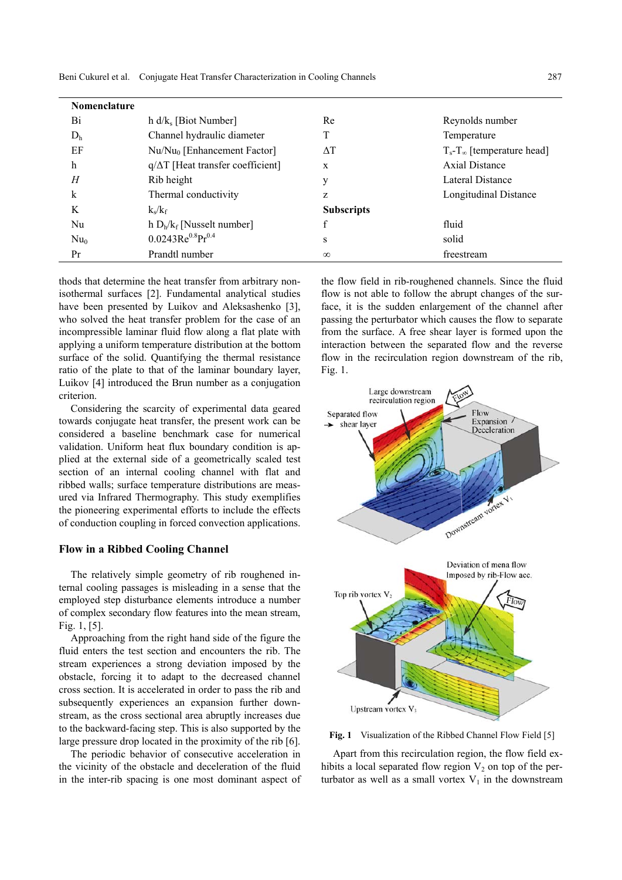| <b>Nomenclature</b> |                                          |                   |                                       |
|---------------------|------------------------------------------|-------------------|---------------------------------------|
| Bi                  | h $d/k_s$ [Biot Number]                  | Re                | Reynolds number                       |
| D <sub>h</sub>      | Channel hydraulic diameter               |                   | Temperature                           |
| EF                  | $Nu/Nu_0$ [Enhancement Factor]           | $\Delta T$        | $T_s$ - $T_\infty$ [temperature head] |
| h                   | $q/\Delta T$ [Heat transfer coefficient] | X                 | Axial Distance                        |
| H                   | Rib height                               | y                 | Lateral Distance                      |
| k                   | Thermal conductivity                     | z                 | Longitudinal Distance                 |
| K                   | $k_{\rm s}/k_{\rm f}$                    | <b>Subscripts</b> |                                       |
| Nu                  | $h D_h/k_f$ [Nusselt number]             |                   | fluid                                 |
| $Nu_0$              | $0.0243Re^{0.8}Pr^{0.4}$                 | S                 | solid                                 |
| Pr                  | Prandtl number                           | $\infty$          | freestream                            |

Beni Cukurel et al. Conjugate Heat Transfer Characterization in Cooling Channels 287

thods that determine the heat transfer from arbitrary nonisothermal surfaces [2]. Fundamental analytical studies have been presented by Luikov and Aleksashenko [3], who solved the heat transfer problem for the case of an incompressible laminar fluid flow along a flat plate with applying a uniform temperature distribution at the bottom surface of the solid. Quantifying the thermal resistance ratio of the plate to that of the laminar boundary layer, Luikov [4] introduced the Brun number as a conjugation criterion.

Considering the scarcity of experimental data geared towards conjugate heat transfer, the present work can be considered a baseline benchmark case for numerical validation. Uniform heat flux boundary condition is applied at the external side of a geometrically scaled test section of an internal cooling channel with flat and ribbed walls; surface temperature distributions are measured via Infrared Thermography. This study exemplifies the pioneering experimental efforts to include the effects of conduction coupling in forced convection applications.

## **Flow in a Ribbed Cooling Channel**

The relatively simple geometry of rib roughened internal cooling passages is misleading in a sense that the employed step disturbance elements introduce a number of complex secondary flow features into the mean stream, Fig. 1, [5].

Approaching from the right hand side of the figure the fluid enters the test section and encounters the rib. The stream experiences a strong deviation imposed by the obstacle, forcing it to adapt to the decreased channel cross section. It is accelerated in order to pass the rib and subsequently experiences an expansion further downstream, as the cross sectional area abruptly increases due to the backward-facing step. This is also supported by the large pressure drop located in the proximity of the rib [6].

The periodic behavior of consecutive acceleration in the vicinity of the obstacle and deceleration of the fluid in the inter-rib spacing is one most dominant aspect of

the flow field in rib-roughened channels. Since the fluid flow is not able to follow the abrupt changes of the surface, it is the sudden enlargement of the channel after passing the perturbator which causes the flow to separate from the surface. A free shear layer is formed upon the interaction between the separated flow and the reverse flow in the recirculation region downstream of the rib, Fig. 1.



**Fig. 1** Visualization of the Ribbed Channel Flow Field [5]

Apart from this recirculation region, the flow field exhibits a local separated flow region  $V_2$  on top of the perturbator as well as a small vortex  $V_1$  in the downstream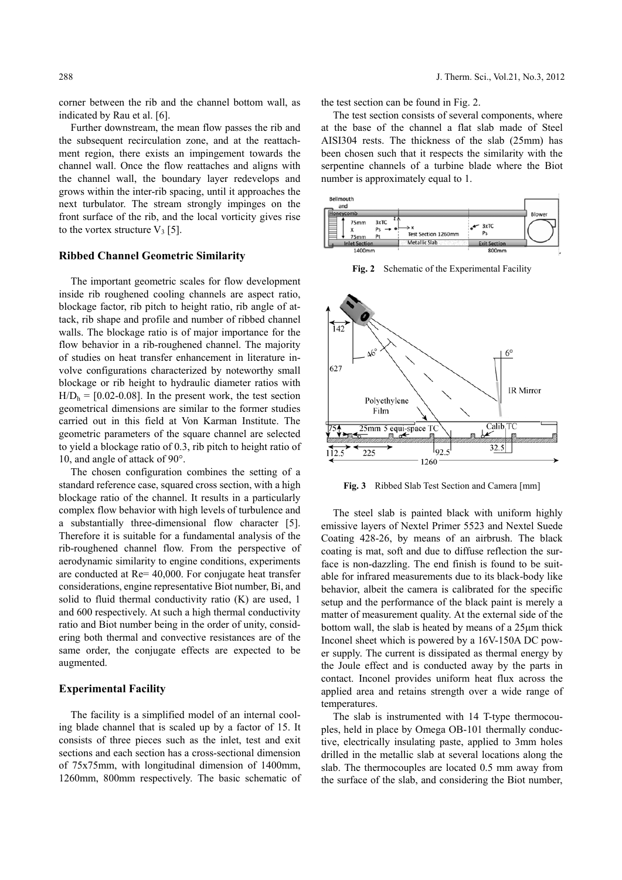corner between the rib and the channel bottom wall, as indicated by Rau et al. [6].

Further downstream, the mean flow passes the rib and the subsequent recirculation zone, and at the reattachment region, there exists an impingement towards the channel wall. Once the flow reattaches and aligns with the channel wall, the boundary layer redevelops and grows within the inter-rib spacing, until it approaches the next turbulator. The stream strongly impinges on the front surface of the rib, and the local vorticity gives rise to the vortex structure  $V_3$  [5].

## **Ribbed Channel Geometric Similarity**

The important geometric scales for flow development inside rib roughened cooling channels are aspect ratio, blockage factor, rib pitch to height ratio, rib angle of attack, rib shape and profile and number of ribbed channel walls. The blockage ratio is of major importance for the flow behavior in a rib-roughened channel. The majority of studies on heat transfer enhancement in literature involve configurations characterized by noteworthy small blockage or rib height to hydraulic diameter ratios with  $H/D<sub>h</sub> = [0.02-0.08]$ . In the present work, the test section geometrical dimensions are similar to the former studies carried out in this field at Von Karman Institute. The geometric parameters of the square channel are selected to yield a blockage ratio of 0.3, rib pitch to height ratio of 10, and angle of attack of 90°.

The chosen configuration combines the setting of a standard reference case, squared cross section, with a high blockage ratio of the channel. It results in a particularly complex flow behavior with high levels of turbulence and a substantially three-dimensional flow character [5]. Therefore it is suitable for a fundamental analysis of the rib-roughened channel flow. From the perspective of aerodynamic similarity to engine conditions, experiments are conducted at Re= 40,000. For conjugate heat transfer considerations, engine representative Biot number, Bi, and solid to fluid thermal conductivity ratio (K) are used, 1 and 600 respectively. At such a high thermal conductivity ratio and Biot number being in the order of unity, considering both thermal and convective resistances are of the same order, the conjugate effects are expected to be augmented.

## **Experimental Facility**

The facility is a simplified model of an internal cooling blade channel that is scaled up by a factor of 15. It consists of three pieces such as the inlet, test and exit sections and each section has a cross-sectional dimension of 75x75mm, with longitudinal dimension of 1400mm, 1260mm, 800mm respectively. The basic schematic of the test section can be found in Fig. 2.

The test section consists of several components, where at the base of the channel a flat slab made of Steel AISI304 rests. The thickness of the slab (25mm) has been chosen such that it respects the similarity with the serpentine channels of a turbine blade where the Biot number is approximately equal to 1.



**Fig. 2** Schematic of the Experimental Facility



**Fig. 3** Ribbed Slab Test Section and Camera [mm]

The steel slab is painted black with uniform highly emissive layers of Nextel Primer 5523 and Nextel Suede Coating 428-26, by means of an airbrush. The black coating is mat, soft and due to diffuse reflection the surface is non-dazzling. The end finish is found to be suitable for infrared measurements due to its black-body like behavior, albeit the camera is calibrated for the specific setup and the performance of the black paint is merely a matter of measurement quality. At the external side of the bottom wall, the slab is heated by means of a 25μm thick Inconel sheet which is powered by a 16V-150A DC power supply. The current is dissipated as thermal energy by the Joule effect and is conducted away by the parts in contact. Inconel provides uniform heat flux across the applied area and retains strength over a wide range of temperatures.

The slab is instrumented with 14 T-type thermocouples, held in place by Omega OB-101 thermally conductive, electrically insulating paste, applied to 3mm holes drilled in the metallic slab at several locations along the slab. The thermocouples are located 0.5 mm away from the surface of the slab, and considering the Biot number,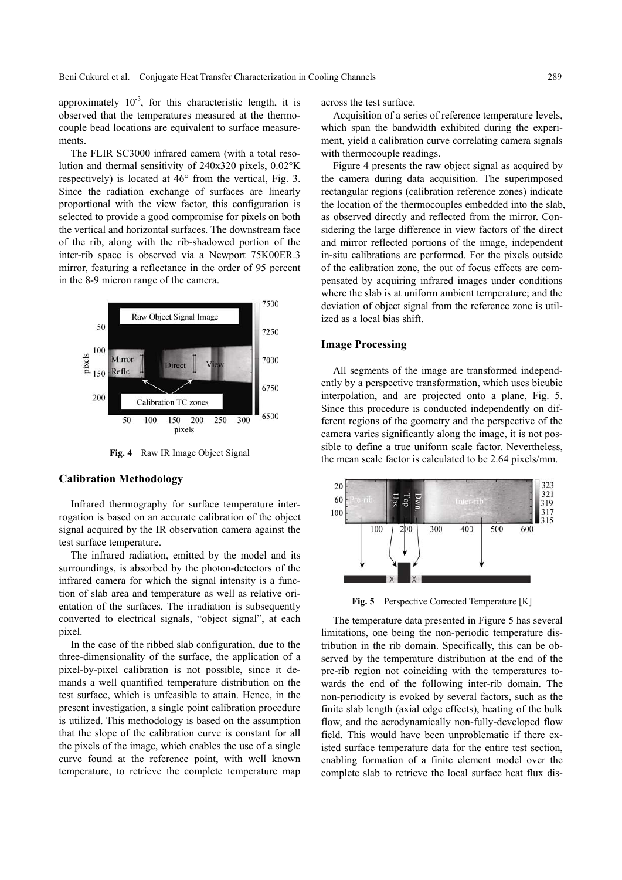approximately  $10^{-3}$ , for this characteristic length, it is observed that the temperatures measured at the thermocouple bead locations are equivalent to surface measurements.

The FLIR SC3000 infrared camera (with a total resolution and thermal sensitivity of 240x320 pixels, 0.02°K respectively) is located at 46° from the vertical, Fig. 3. Since the radiation exchange of surfaces are linearly proportional with the view factor, this configuration is selected to provide a good compromise for pixels on both the vertical and horizontal surfaces. The downstream face of the rib, along with the rib-shadowed portion of the inter-rib space is observed via a Newport 75K00ER.3 mirror, featuring a reflectance in the order of 95 percent in the 8-9 micron range of the camera.



**Fig. 4** Raw IR Image Object Signal

## **Calibration Methodology**

Infrared thermography for surface temperature interrogation is based on an accurate calibration of the object signal acquired by the IR observation camera against the test surface temperature.

The infrared radiation, emitted by the model and its surroundings, is absorbed by the photon-detectors of the infrared camera for which the signal intensity is a function of slab area and temperature as well as relative orientation of the surfaces. The irradiation is subsequently converted to electrical signals, "object signal", at each pixel.

In the case of the ribbed slab configuration, due to the three-dimensionality of the surface, the application of a pixel-by-pixel calibration is not possible, since it demands a well quantified temperature distribution on the test surface, which is unfeasible to attain. Hence, in the present investigation, a single point calibration procedure is utilized. This methodology is based on the assumption that the slope of the calibration curve is constant for all the pixels of the image, which enables the use of a single curve found at the reference point, with well known temperature, to retrieve the complete temperature map across the test surface.

Acquisition of a series of reference temperature levels, which span the bandwidth exhibited during the experiment, yield a calibration curve correlating camera signals with thermocouple readings.

Figure 4 presents the raw object signal as acquired by the camera during data acquisition. The superimposed rectangular regions (calibration reference zones) indicate the location of the thermocouples embedded into the slab, as observed directly and reflected from the mirror. Considering the large difference in view factors of the direct and mirror reflected portions of the image, independent in-situ calibrations are performed. For the pixels outside of the calibration zone, the out of focus effects are compensated by acquiring infrared images under conditions where the slab is at uniform ambient temperature; and the deviation of object signal from the reference zone is utilized as a local bias shift.

## **Image Processing**

All segments of the image are transformed independently by a perspective transformation, which uses bicubic interpolation, and are projected onto a plane, Fig. 5. Since this procedure is conducted independently on different regions of the geometry and the perspective of the camera varies significantly along the image, it is not possible to define a true uniform scale factor. Nevertheless, the mean scale factor is calculated to be 2.64 pixels/mm.



**Fig. 5** Perspective Corrected Temperature [K]

The temperature data presented in Figure 5 has several limitations, one being the non-periodic temperature distribution in the rib domain. Specifically, this can be observed by the temperature distribution at the end of the pre-rib region not coinciding with the temperatures towards the end of the following inter-rib domain. The non-periodicity is evoked by several factors, such as the finite slab length (axial edge effects), heating of the bulk flow, and the aerodynamically non-fully-developed flow field. This would have been unproblematic if there existed surface temperature data for the entire test section, enabling formation of a finite element model over the complete slab to retrieve the local surface heat flux dis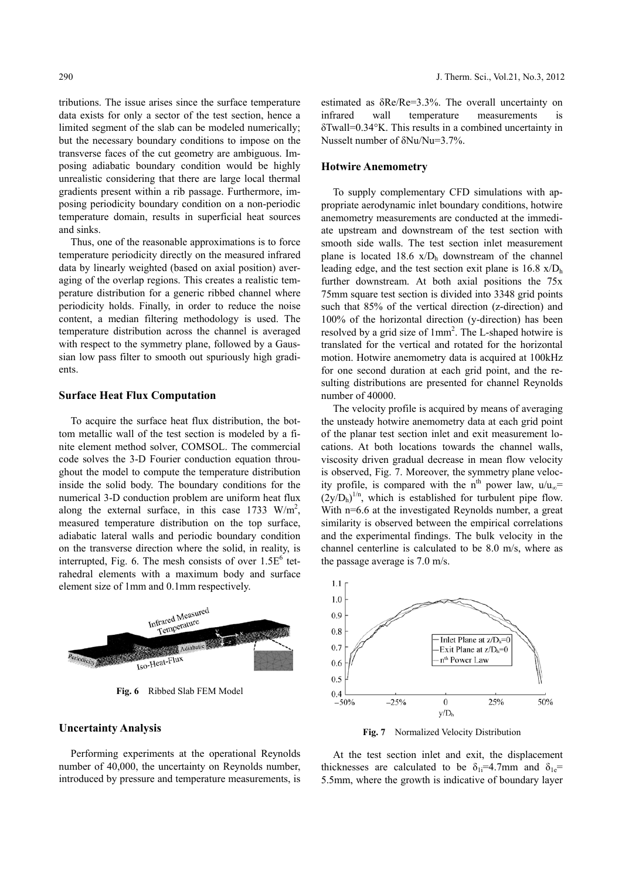tributions. The issue arises since the surface temperature data exists for only a sector of the test section, hence a limited segment of the slab can be modeled numerically; but the necessary boundary conditions to impose on the transverse faces of the cut geometry are ambiguous. Imposing adiabatic boundary condition would be highly unrealistic considering that there are large local thermal gradients present within a rib passage. Furthermore, imposing periodicity boundary condition on a non-periodic temperature domain, results in superficial heat sources and sinks.

Thus, one of the reasonable approximations is to force temperature periodicity directly on the measured infrared data by linearly weighted (based on axial position) averaging of the overlap regions. This creates a realistic temperature distribution for a generic ribbed channel where periodicity holds. Finally, in order to reduce the noise content, a median filtering methodology is used. The temperature distribution across the channel is averaged with respect to the symmetry plane, followed by a Gaussian low pass filter to smooth out spuriously high gradients.

## **Surface Heat Flux Computation**

To acquire the surface heat flux distribution, the bottom metallic wall of the test section is modeled by a finite element method solver, COMSOL. The commercial code solves the 3-D Fourier conduction equation throughout the model to compute the temperature distribution inside the solid body. The boundary conditions for the numerical 3-D conduction problem are uniform heat flux along the external surface, in this case 1733  $W/m^2$ , measured temperature distribution on the top surface, adiabatic lateral walls and periodic boundary condition on the transverse direction where the solid, in reality, is interrupted, Fig. 6. The mesh consists of over  $1.5E<sup>6</sup>$  tetrahedral elements with a maximum body and surface element size of 1mm and 0.1mm respectively.



**Fig. 6** Ribbed Slab FEM Model

## **Uncertainty Analysis**

Performing experiments at the operational Reynolds number of 40,000, the uncertainty on Reynolds number, introduced by pressure and temperature measurements, is

estimated as δRe/Re=3.3%. The overall uncertainty on infrared wall temperature measurements is δTwall=0.34°K. This results in a combined uncertainty in Nusselt number of δNu/Nu=3.7%.

## **Hotwire Anemometry**

To supply complementary CFD simulations with appropriate aerodynamic inlet boundary conditions, hotwire anemometry measurements are conducted at the immediate upstream and downstream of the test section with smooth side walls. The test section inlet measurement plane is located 18.6  $x/D_h$  downstream of the channel leading edge, and the test section exit plane is  $16.8 \text{ x/D}_{h}$ further downstream. At both axial positions the 75x 75mm square test section is divided into 3348 grid points such that 85% of the vertical direction (z-direction) and 100% of the horizontal direction (y-direction) has been resolved by a grid size of  $1mm^2$ . The L-shaped hotwire is translated for the vertical and rotated for the horizontal motion. Hotwire anemometry data is acquired at 100kHz for one second duration at each grid point, and the resulting distributions are presented for channel Reynolds number of 40000.

The velocity profile is acquired by means of averaging the unsteady hotwire anemometry data at each grid point of the planar test section inlet and exit measurement locations. At both locations towards the channel walls, viscosity driven gradual decrease in mean flow velocity is observed, Fig. 7. Moreover, the symmetry plane velocity profile, is compared with the n<sup>th</sup> power law,  $u/u_{\infty}$ =  $(2y/D<sub>h</sub>)<sup>1/n</sup>$ , which is established for turbulent pipe flow. With n=6.6 at the investigated Reynolds number, a great similarity is observed between the empirical correlations and the experimental findings. The bulk velocity in the channel centerline is calculated to be 8.0 m/s, where as the passage average is 7.0 m/s.



**Fig. 7** Normalized Velocity Distribution

At the test section inlet and exit, the displacement thicknesses are calculated to be  $\delta_{1i}=4.7$ mm and  $\delta_{1e}=$ 5.5mm, where the growth is indicative of boundary layer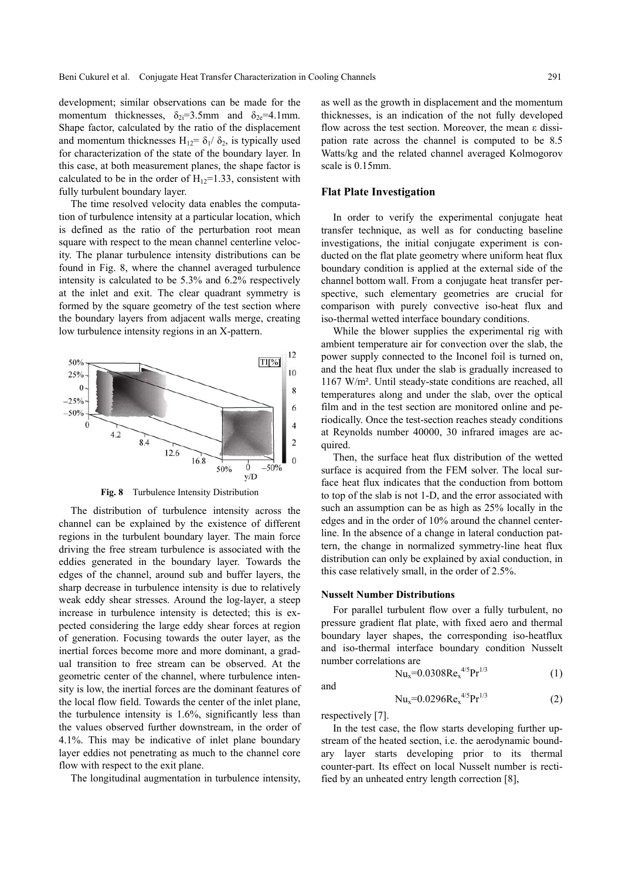development; similar observations can be made for the momentum thicknesses,  $\delta_{2i}=3.5$ mm and  $\delta_{2e}=4.1$ mm. Shape factor, calculated by the ratio of the displacement and momentum thicknesses  $H_{12} = \delta_1 / \delta_2$ , is typically used for characterization of the state of the boundary layer. In this case, at both measurement planes, the shape factor is calculated to be in the order of  $H_{12}=1.33$ , consistent with fully turbulent boundary layer.

The time resolved velocity data enables the computation of turbulence intensity at a particular location, which is defined as the ratio of the perturbation root mean square with respect to the mean channel centerline velocity. The planar turbulence intensity distributions can be found in Fig. 8, where the channel averaged turbulence intensity is calculated to be 5.3% and 6.2% respectively at the inlet and exit. The clear quadrant symmetry is formed by the square geometry of the test section where the boundary layers from adjacent walls merge, creating low turbulence intensity regions in an X-pattern.



**Fig. 8** Turbulence Intensity Distribution

The distribution of turbulence intensity across the channel can be explained by the existence of different regions in the turbulent boundary layer. The main force driving the free stream turbulence is associated with the eddies generated in the boundary layer. Towards the edges of the channel, around sub and buffer layers, the sharp decrease in turbulence intensity is due to relatively weak eddy shear stresses. Around the log-layer, a steep increase in turbulence intensity is detected; this is expected considering the large eddy shear forces at region of generation. Focusing towards the outer layer, as the inertial forces become more and more dominant, a gradual transition to free stream can be observed. At the geometric center of the channel, where turbulence intensity is low, the inertial forces are the dominant features of the local flow field. Towards the center of the inlet plane, the turbulence intensity is 1.6%, significantly less than the values observed further downstream, in the order of 4.1%. This may be indicative of inlet plane boundary layer eddies not penetrating as much to the channel core flow with respect to the exit plane.

The longitudinal augmentation in turbulence intensity,

as well as the growth in displacement and the momentum thicknesses, is an indication of the not fully developed flow across the test section. Moreover, the mean ε dissipation rate across the channel is computed to be 8.5 Watts/kg and the related channel averaged Kolmogorov scale is 0.15mm.

## **Flat Plate Investigation**

In order to verify the experimental conjugate heat transfer technique, as well as for conducting baseline investigations, the initial conjugate experiment is conducted on the flat plate geometry where uniform heat flux boundary condition is applied at the external side of the channel bottom wall. From a conjugate heat transfer perspective, such elementary geometries are crucial for comparison with purely convective iso-heat flux and iso-thermal wetted interface boundary conditions.

While the blower supplies the experimental rig with ambient temperature air for convection over the slab, the power supply connected to the Inconel foil is turned on, and the heat flux under the slab is gradually increased to 1167 W/m². Until steady-state conditions are reached, all temperatures along and under the slab, over the optical film and in the test section are monitored online and periodically. Once the test-section reaches steady conditions at Reynolds number 40000, 30 infrared images are acquired.

Then, the surface heat flux distribution of the wetted surface is acquired from the FEM solver. The local surface heat flux indicates that the conduction from bottom to top of the slab is not 1-D, and the error associated with such an assumption can be as high as 25% locally in the edges and in the order of 10% around the channel centerline. In the absence of a change in lateral conduction pattern, the change in normalized symmetry-line heat flux distribution can only be explained by axial conduction, in this case relatively small, in the order of 2.5%.

#### **Nusselt Number Distributions**

For parallel turbulent flow over a fully turbulent, no pressure gradient flat plate, with fixed aero and thermal boundary layer shapes, the corresponding iso-heatflux and iso-thermal interface boundary condition Nusselt number correlations are

and

$$
Nu_x=0.0308Re_x^{4/5}Pr^{1/3}
$$
 (1)

$$
Nu_x=0.0296Re_x^{4/5}Pr^{1/3}
$$
 (2)

respectively [7].

In the test case, the flow starts developing further upstream of the heated section, i.e. the aerodynamic boundary layer starts developing prior to its thermal counter-part. Its effect on local Nusselt number is rectified by an unheated entry length correction [8],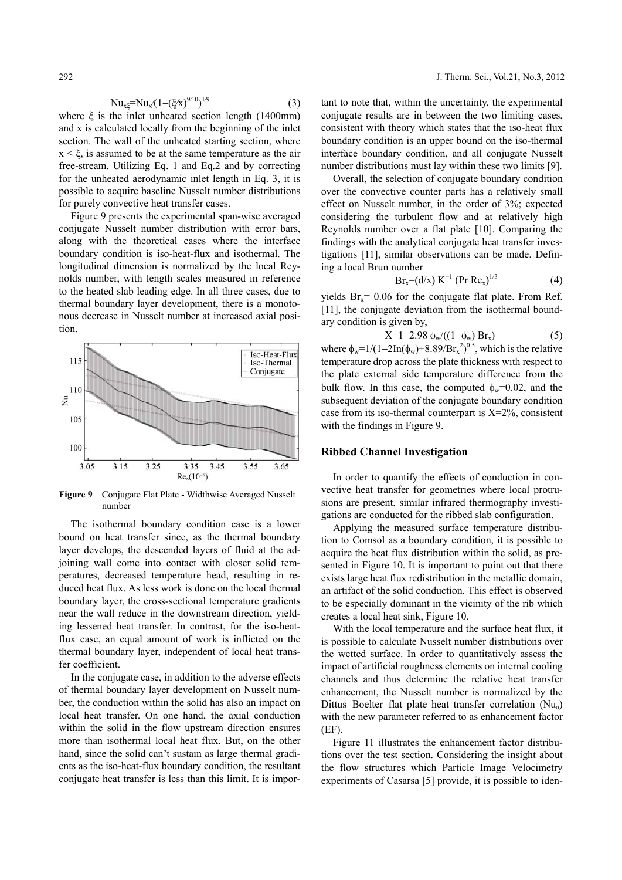$$
Nu_{x\xi} = Nu_x(1 - (\xi x)^{9/10})^{1/9}
$$
 (3)

where  $\xi$  is the inlet unheated section length (1400mm) and x is calculated locally from the beginning of the inlet section. The wall of the unheated starting section, where  $x \le \xi$ , is assumed to be at the same temperature as the air free-stream. Utilizing Eq. 1 and Eq.2 and by correcting for the unheated aerodynamic inlet length in Eq. 3, it is possible to acquire baseline Nusselt number distributions for purely convective heat transfer cases.

Figure 9 presents the experimental span-wise averaged conjugate Nusselt number distribution with error bars, along with the theoretical cases where the interface boundary condition is iso-heat-flux and isothermal. The longitudinal dimension is normalized by the local Reynolds number, with length scales measured in reference to the heated slab leading edge. In all three cases, due to thermal boundary layer development, there is a monotonous decrease in Nusselt number at increased axial position.



**Figure 9** Conjugate Flat Plate - Widthwise Averaged Nusselt number

The isothermal boundary condition case is a lower bound on heat transfer since, as the thermal boundary layer develops, the descended layers of fluid at the adjoining wall come into contact with closer solid temperatures, decreased temperature head, resulting in reduced heat flux. As less work is done on the local thermal boundary layer, the cross-sectional temperature gradients near the wall reduce in the downstream direction, yielding lessened heat transfer. In contrast, for the iso-heatflux case, an equal amount of work is inflicted on the thermal boundary layer, independent of local heat transfer coefficient.

In the conjugate case, in addition to the adverse effects of thermal boundary layer development on Nusselt number, the conduction within the solid has also an impact on local heat transfer. On one hand, the axial conduction within the solid in the flow upstream direction ensures more than isothermal local heat flux. But, on the other hand, since the solid can't sustain as large thermal gradients as the iso-heat-flux boundary condition, the resultant conjugate heat transfer is less than this limit. It is impor-

tant to note that, within the uncertainty, the experimental conjugate results are in between the two limiting cases, consistent with theory which states that the iso-heat flux boundary condition is an upper bound on the iso-thermal interface boundary condition, and all conjugate Nusselt number distributions must lay within these two limits [9].

Overall, the selection of conjugate boundary condition over the convective counter parts has a relatively small effect on Nusselt number, in the order of 3%; expected considering the turbulent flow and at relatively high Reynolds number over a flat plate [10]. Comparing the findings with the analytical conjugate heat transfer investigations [11], similar observations can be made. Defining a local Brun number

$$
Br_x = (d/x) K^{-1} (Pr Re_x)^{1/3}
$$
 (4)

yields  $Br_x = 0.06$  for the conjugate flat plate. From Ref. [11], the conjugate deviation from the isothermal boundary condition is given by,

$$
X=1-2.98 \ \phi_w/((1-\phi_w) \ Br_x) \tag{5}
$$

where  $\phi_w = 1/(1-2\text{In}(\phi_w)+8.89/\text{Br}_x^2)^{0.5}$ , which is the relative temperature drop across the plate thickness with respect to the plate external side temperature difference from the bulk flow. In this case, the computed  $\phi_w=0.02$ , and the subsequent deviation of the conjugate boundary condition case from its iso-thermal counterpart is  $X=2\%$ , consistent with the findings in Figure 9.

## **Ribbed Channel Investigation**

In order to quantify the effects of conduction in convective heat transfer for geometries where local protrusions are present, similar infrared thermography investigations are conducted for the ribbed slab configuration.

Applying the measured surface temperature distribution to Comsol as a boundary condition, it is possible to acquire the heat flux distribution within the solid, as presented in Figure 10. It is important to point out that there exists large heat flux redistribution in the metallic domain, an artifact of the solid conduction. This effect is observed to be especially dominant in the vicinity of the rib which creates a local heat sink, Figure 10.

With the local temperature and the surface heat flux, it is possible to calculate Nusselt number distributions over the wetted surface. In order to quantitatively assess the impact of artificial roughness elements on internal cooling channels and thus determine the relative heat transfer enhancement, the Nusselt number is normalized by the Dittus Boelter flat plate heat transfer correlation (Nu<sub>o</sub>) with the new parameter referred to as enhancement factor (EF).

Figure 11 illustrates the enhancement factor distributions over the test section. Considering the insight about the flow structures which Particle Image Velocimetry experiments of Casarsa [5] provide, it is possible to iden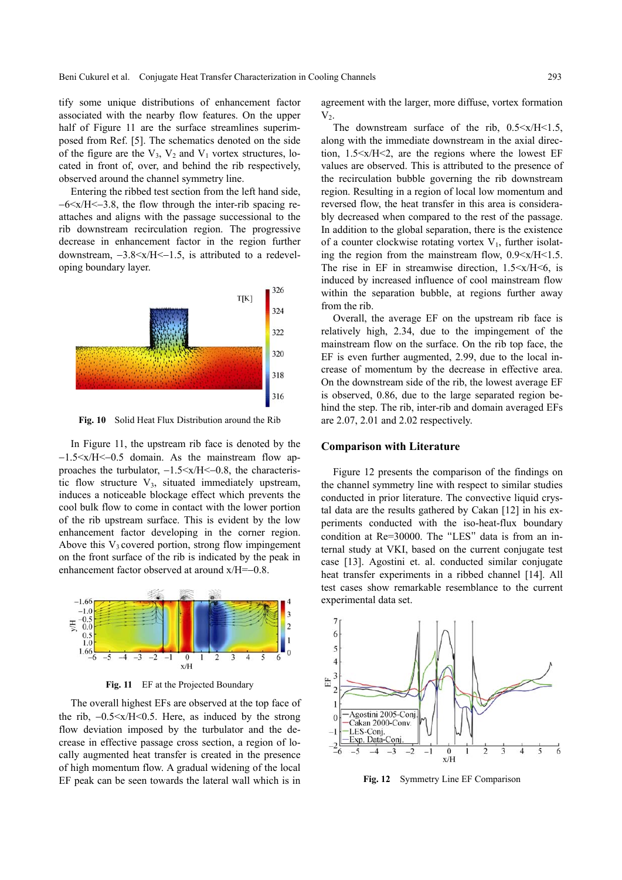tify some unique distributions of enhancement factor associated with the nearby flow features. On the upper half of Figure 11 are the surface streamlines superimposed from Ref. [5]. The schematics denoted on the side of the figure are the  $V_3$ ,  $V_2$  and  $V_1$  vortex structures, located in front of, over, and behind the rib respectively, observed around the channel symmetry line.

Entering the ribbed test section from the left hand side,  $-6 \le x/H \le -3.8$ , the flow through the inter-rib spacing reattaches and aligns with the passage successional to the rib downstream recirculation region. The progressive decrease in enhancement factor in the region further downstream,  $-3.8 \times x/H \le -1.5$ , is attributed to a redeveloping boundary layer.



**Fig. 10** Solid Heat Flux Distribution around the Rib

In Figure 11, the upstream rib face is denoted by the −1.5<x/H<−0.5 domain. As the mainstream flow approaches the turbulator,  $-1.5 \times x/H \le -0.8$ , the characteristic flow structure  $V_3$ , situated immediately upstream, induces a noticeable blockage effect which prevents the cool bulk flow to come in contact with the lower portion of the rib upstream surface. This is evident by the low enhancement factor developing in the corner region. Above this  $V_3$  covered portion, strong flow impingement on the front surface of the rib is indicated by the peak in enhancement factor observed at around x/H=−0.8.



**Fig. 11** EF at the Projected Boundary

The overall highest EFs are observed at the top face of the rib, −0.5<x/H<0.5. Here, as induced by the strong flow deviation imposed by the turbulator and the decrease in effective passage cross section, a region of locally augmented heat transfer is created in the presence of high momentum flow. A gradual widening of the local EF peak can be seen towards the lateral wall which is in

agreement with the larger, more diffuse, vortex formation  $V_2$ .

The downstream surface of the rib,  $0.5 \le x/H \le 1.5$ , along with the immediate downstream in the axial direction, 1.5<x/H<2, are the regions where the lowest EF values are observed. This is attributed to the presence of the recirculation bubble governing the rib downstream region. Resulting in a region of local low momentum and reversed flow, the heat transfer in this area is considerably decreased when compared to the rest of the passage. In addition to the global separation, there is the existence of a counter clockwise rotating vortex  $V_1$ , further isolating the region from the mainstream flow,  $0.9 \le x/H \le 1.5$ . The rise in EF in streamwise direction,  $1.5 \times x/H \le 6$ , is induced by increased influence of cool mainstream flow within the separation bubble, at regions further away from the rib.

Overall, the average EF on the upstream rib face is relatively high, 2.34, due to the impingement of the mainstream flow on the surface. On the rib top face, the EF is even further augmented, 2.99, due to the local increase of momentum by the decrease in effective area. On the downstream side of the rib, the lowest average EF is observed, 0.86, due to the large separated region behind the step. The rib, inter-rib and domain averaged EFs are 2.07, 2.01 and 2.02 respectively.

## **Comparison with Literature**

Figure 12 presents the comparison of the findings on the channel symmetry line with respect to similar studies conducted in prior literature. The convective liquid crystal data are the results gathered by Cakan [12] in his experiments conducted with the iso-heat-flux boundary condition at Re=30000. The "LES" data is from an internal study at VKI, based on the current conjugate test case [13]. Agostini et. al. conducted similar conjugate heat transfer experiments in a ribbed channel [14]. All test cases show remarkable resemblance to the current experimental data set.



**Fig. 12** Symmetry Line EF Comparison